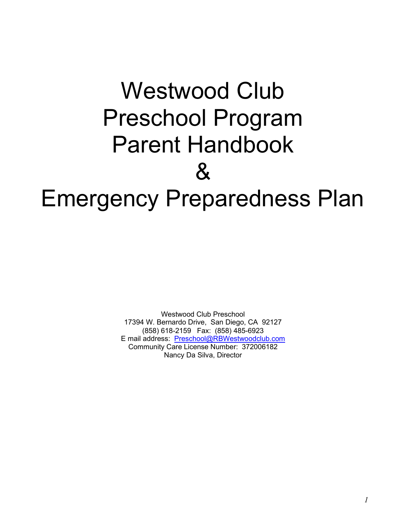# Westwood Club Preschool Program Parent Handbook  $\mathbf{\alpha}$ Emergency Preparedness Plan

Westwood Club Preschool 17394 W. Bernardo Drive, San Diego, CA 92127 (858) 618-2159 Fax: (858) 485-6923 E mail address: Preschool@RBWestwoodclub.com Community Care License Number: 372006182 Nancy Da Silva, Director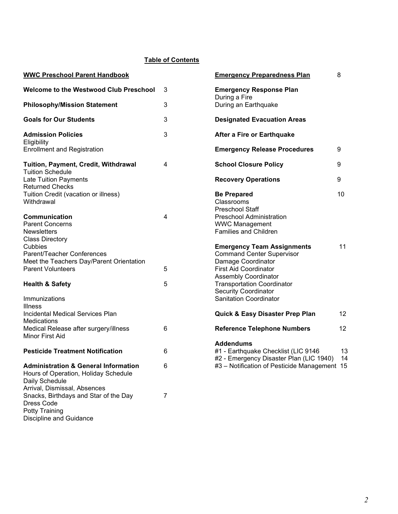# Table of Contents

| <b>WWC Preschool Parent Handbook</b>                                                                      |   | <b>Emergency Preparedness Plan</b>                                                                 | 8        |
|-----------------------------------------------------------------------------------------------------------|---|----------------------------------------------------------------------------------------------------|----------|
| Welcome to the Westwood Club Preschool                                                                    | 3 | <b>Emergency Response Plan</b><br>During a Fire                                                    |          |
| <b>Philosophy/Mission Statement</b>                                                                       | 3 | During an Earthquake                                                                               |          |
| <b>Goals for Our Students</b>                                                                             | 3 | <b>Designated Evacuation Areas</b>                                                                 |          |
| <b>Admission Policies</b><br>Eligibility                                                                  | 3 | After a Fire or Earthquake                                                                         |          |
| <b>Enrollment and Registration</b>                                                                        |   | <b>Emergency Release Procedures</b>                                                                | 9        |
| Tuition, Payment, Credit, Withdrawal<br><b>Tuition Schedule</b>                                           | 4 | <b>School Closure Policy</b>                                                                       | 9        |
| Late Tuition Payments<br><b>Returned Checks</b>                                                           |   | <b>Recovery Operations</b>                                                                         | 9        |
| Tuition Credit (vacation or illness)<br>Withdrawal                                                        |   | <b>Be Prepared</b><br>Classrooms<br><b>Preschool Staff</b>                                         | 10       |
| Communication<br><b>Parent Concerns</b>                                                                   | 4 | <b>Preschool Administration</b><br><b>WWC Management</b>                                           |          |
| <b>Newsletters</b><br><b>Class Directory</b>                                                              |   | Families and Children                                                                              |          |
| Cubbies<br>Parent/Teacher Conferences<br>Meet the Teachers Day/Parent Orientation                         |   | <b>Emergency Team Assignments</b><br><b>Command Center Supervisor</b><br>Damage Coordinator        | 11       |
| <b>Parent Volunteers</b>                                                                                  | 5 | <b>First Aid Coordinator</b><br><b>Assembly Coordinator</b>                                        |          |
| <b>Health &amp; Safety</b>                                                                                | 5 | <b>Transportation Coordinator</b><br><b>Security Coordinator</b>                                   |          |
| <b>Immunizations</b><br><b>Illness</b>                                                                    |   | <b>Sanitation Coordinator</b>                                                                      |          |
| Incidental Medical Services Plan<br><b>Medications</b>                                                    |   | Quick & Easy Disaster Prep Plan                                                                    | 12       |
| Medical Release after surgery/illness<br>Minor First Aid                                                  | 6 | <b>Reference Telephone Numbers</b>                                                                 | 12       |
| <b>Pesticide Treatment Notification</b>                                                                   | 6 | <b>Addendums</b><br>#1 - Earthquake Checklist (LIC 9146<br>#2 - Emergency Disaster Plan (LIC 1940) | 13<br>14 |
| <b>Administration &amp; General Information</b><br>Hours of Operation, Holiday Schedule<br>Daily Schedule | 6 | #3 - Notification of Pesticide Management 15                                                       |          |
| Arrival, Dismissal, Absences<br>Snacks, Birthdays and Star of the Day<br>Dress Code<br>Dotty Troining     | 7 |                                                                                                    |          |

Potty Training Discipline and Guidance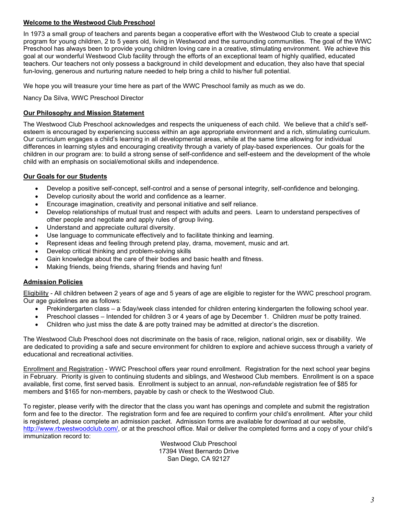# Welcome to the Westwood Club Preschool

In 1973 a small group of teachers and parents began a cooperative effort with the Westwood Club to create a special program for young children, 2 to 5 years old, living in Westwood and the surrounding communities. The goal of the WWC Preschool has always been to provide young children loving care in a creative, stimulating environment. We achieve this goal at our wonderful Westwood Club facility through the efforts of an exceptional team of highly qualified, educated teachers. Our teachers not only possess a background in child development and education, they also have that special fun-loving, generous and nurturing nature needed to help bring a child to his/her full potential.

We hope you will treasure your time here as part of the WWC Preschool family as much as we do.

Nancy Da Silva, WWC Preschool Director

# Our Philosophy and Mission Statement

The Westwood Club Preschool acknowledges and respects the uniqueness of each child. We believe that a child's selfesteem is encouraged by experiencing success within an age appropriate environment and a rich, stimulating curriculum. Our curriculum engages a child's learning in all developmental areas, while at the same time allowing for individual differences in learning styles and encouraging creativity through a variety of play-based experiences. Our goals for the children in our program are: to build a strong sense of self-confidence and self-esteem and the development of the whole child with an emphasis on social/emotional skills and independence.

# Our Goals for our Students

- Develop a positive self-concept, self-control and a sense of personal integrity, self-confidence and belonging.
- Develop curiosity about the world and confidence as a learner.
- Encourage imagination, creativity and personal initiative and self reliance.
- Develop relationships of mutual trust and respect with adults and peers. Learn to understand perspectives of other people and negotiate and apply rules of group living.
- Understand and appreciate cultural diversity.
- Use language to communicate effectively and to facilitate thinking and learning.
- Represent ideas and feeling through pretend play, drama, movement, music and art.
- Develop critical thinking and problem-solving skills
- Gain knowledge about the care of their bodies and basic health and fitness.
- Making friends, being friends, sharing friends and having fun!

# Admission Policies

Eligibility - All children between 2 years of age and 5 years of age are eligible to register for the WWC preschool program. Our age guidelines are as follows:

- Prekindergarten class a 5day/week class intended for children entering kindergarten the following school year.
- Preschool classes Intended for children 3 or 4 years of age by December 1. Children *must* be potty trained.
- Children who just miss the date & are potty trained may be admitted at director's the discretion.

The Westwood Club Preschool does not discriminate on the basis of race, religion, national origin, sex or disability. We are dedicated to providing a safe and secure environment for children to explore and achieve success through a variety of educational and recreational activities.

Enrollment and Registration - WWC Preschool offers year round enrollment. Registration for the next school year begins in February. Priority is given to continuing students and siblings, and Westwood Club members. Enrollment is on a space available, first come, first served basis. Enrollment is subject to an annual, non-refundable registration fee of \$85 for members and \$165 for non-members, payable by cash or check to the Westwood Club.

To register, please verify with the director that the class you want has openings and complete and submit the registration form and fee to the director. The registration form and fee are required to confirm your child's enrollment. After your child is registered, please complete an admission packet. Admission forms are available for download at our website, http://www.rbwestwoodclub.com/, or at the preschool office. Mail or deliver the completed forms and a copy of your child's immunization record to:

Westwood Club Preschool 17394 West Bernardo Drive San Diego, CA 92127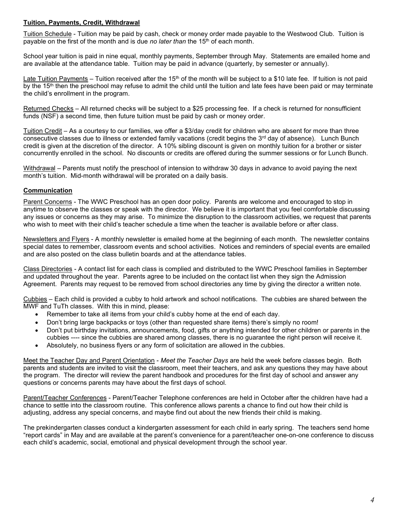# Tuition, Payments, Credit, Withdrawal

Tuition Schedule - Tuition may be paid by cash, check or money order made payable to the Westwood Club. Tuition is payable on the first of the month and is due no later than the  $15<sup>th</sup>$  of each month.

School year tuition is paid in nine equal, monthly payments, September through May. Statements are emailed home and are available at the attendance table. Tuition may be paid in advance (quarterly, by semester or annually).

Late Tuition Payments – Tuition received after the  $15<sup>th</sup>$  of the month will be subject to a \$10 late fee. If tuition is not paid by the  $15<sup>th</sup>$  then the preschool may refuse to admit the child until the tuition and late fees have been paid or may terminate the child's enrollment in the program.

Returned Checks – All returned checks will be subject to a \$25 processing fee. If a check is returned for nonsufficient funds (NSF) a second time, then future tuition must be paid by cash or money order.

Tuition Credit – As a courtesy to our families, we offer a \$3/day credit for children who are absent for more than three consecutive classes due to illness or extended family vacations (credit begins the  $3<sup>rd</sup>$  day of absence). Lunch Bunch credit is given at the discretion of the director. A 10% sibling discount is given on monthly tuition for a brother or sister concurrently enrolled in the school. No discounts or credits are offered during the summer sessions or for Lunch Bunch.

Withdrawal – Parents must notify the preschool of intension to withdraw 30 days in advance to avoid paying the next month's tuition. Mid-month withdrawal will be prorated on a daily basis.

# Communication

Parent Concerns - The WWC Preschool has an open door policy. Parents are welcome and encouraged to stop in anytime to observe the classes or speak with the director. We believe it is important that you feel comfortable discussing any issues or concerns as they may arise. To minimize the disruption to the classroom activities, we request that parents who wish to meet with their child's teacher schedule a time when the teacher is available before or after class.

Newsletters and Flyers - A monthly newsletter is emailed home at the beginning of each month. The newsletter contains special dates to remember, classroom events and school activities. Notices and reminders of special events are emailed and are also posted on the class bulletin boards and at the attendance tables.

Class Directories - A contact list for each class is complied and distributed to the WWC Preschool families in September and updated throughout the year. Parents agree to be included on the contact list when they sign the Admission Agreement. Parents may request to be removed from school directories any time by giving the director a written note.

Cubbies – Each child is provided a cubby to hold artwork and school notifications. The cubbies are shared between the MWF and TuTh classes. With this in mind, please:

- Remember to take all items from your child's cubby home at the end of each day.
- Don't bring large backpacks or toys (other than requested share items) there's simply no room!
- Don't put birthday invitations, announcements, food, gifts or anything intended for other children or parents in the cubbies ---- since the cubbies are shared among classes, there is no guarantee the right person will receive it.
- Absolutely, no business flyers or any form of solicitation are allowed in the cubbies.

Meet the Teacher Day and Parent Orientation - Meet the Teacher Days are held the week before classes begin. Both parents and students are invited to visit the classroom, meet their teachers, and ask any questions they may have about the program. The director will review the parent handbook and procedures for the first day of school and answer any questions or concerns parents may have about the first days of school.

Parent/Teacher Conferences - Parent/Teacher Telephone conferences are held in October after the children have had a chance to settle into the classroom routine. This conference allows parents a chance to find out how their child is adjusting, address any special concerns, and maybe find out about the new friends their child is making.

The prekindergarten classes conduct a kindergarten assessment for each child in early spring. The teachers send home "report cards" in May and are available at the parent's convenience for a parent/teacher one-on-one conference to discuss each child's academic, social, emotional and physical development through the school year.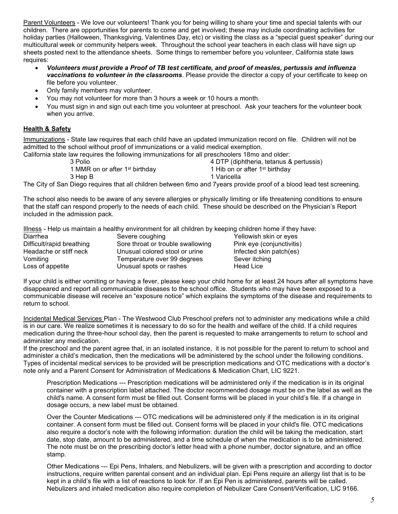Parent Volunteers - We love our volunteers! Thank you for being willing to share your time and special talents with our children. There are opportunities for parents to come and get involved; these may include coordinating activities for holiday parties (Halloween, Thanksgiving, Valentines Day, etc) or visiting the class as a "special guest speaker" during our multicultural week or community helpers week. Throughout the school year teachers in each class will have sign up sheets posted next to the attendance sheets. Some things to remember before you volunteer, California state laws requires:

- Volunteers must provide a Proof of TB test certificate, and proof of measles, pertussis and influenza **vaccinations to volunteer in the classrooms**. Please provide the director a copy of your certificate to keep on file before you volunteer.
- Only family members may volunteer.
- You may not volunteer for more than 3 hours a week or 10 hours a month.
- You must sign in and sign out each time you volunteer at preschool. Ask your teachers for the volunteer book when you arrive.

# **Health & Safety**

Immunizations - State law requires that each child have an updated immunization record on file. Children will not be admitted to the school without proof of immunizations or a valid medical exemption.

California state law requires the following immunizations for all preschoolers 18mo and older:

| 3 Polio |                                            | 4 DTP (diphtheria, tetanus & pertussis)                                                                                                                                                        |
|---------|--------------------------------------------|------------------------------------------------------------------------------------------------------------------------------------------------------------------------------------------------|
|         | 1 MMR on or after 1 <sup>st</sup> birthday | 1 Hib on or after 1 <sup>st</sup> birthday                                                                                                                                                     |
| 3 Hep B |                                            | 1 Varicella                                                                                                                                                                                    |
|         |                                            | $\mathcal{L} \cap \mathcal{L}$ , and it is the contract of the contract of the contract of $\mathcal{L} \cap \mathcal{L}$ , and the contract of the contract of $\mathcal{L} \cap \mathcal{L}$ |

The City of San Diego requires that all children between 6mo and 7years provide proof of a blood lead test screening.

The school also needs to be aware of any severe allergies or physically limiting or life threatening conditions to ensure that the staff can respond properly to the needs of each child. These should be described on the Physician's Report included in the admission pack.

Illness - Help us maintain a healthy environment for all children by keeping children home if they have:

| Diarrhea                  | Severe coughing                   |
|---------------------------|-----------------------------------|
| Difficult/rapid breathing | Sore throat or trouble swallowing |
| Headache or stiff neck    | Unusual colored stool or urine    |
| Vomiting                  | Temperature over 99 degrees       |
| Loss of appetite          | Unusual spots or rashes           |

Yellowish skin or eyes Pink eye (conjunctivitis) Infected skin patch(es) Sever itching Head Lice

If your child is either vomiting or having a fever, please keep your child home for at least 24 hours after all symptoms have disappeared and report all communicable diseases to the school office. Students who may have been exposed to a communicable disease will receive an "exposure notice" which explains the symptoms of the disease and requirements to return to school.

Incidental Medical Services Plan - The Westwood Club Preschool prefers not to administer any medications while a child is in our care. We realize sometimes it is necessary to do so for the health and welfare of the child. If a child requires medication during the three-hour school day, then the parent is requested to make arrangements to return to school and administer any medication.

If the preschool and the parent agree that, in an isolated instance, it is not possible for the parent to return to school and administer a child's medication, then the medications will be administered by the school under the following conditions. Types of incidental medical services to be provided will be prescription medications and OTC medications with a doctor's note only and a Parent Consent for Administration of Medications & Medication Chart, LIC 9221.

Prescription Medications --- Prescription medications will be administered only if the medication is in its original container with a prescription label attached. The doctor recommended dosage must be on the label as well as the child's name. A consent form must be filled out. Consent forms will be placed in your child's file. If a change in dosage occurs, a new label must be obtained.

Over the Counter Medications --- OTC medications will be administered only if the medication is in its original container. A consent form must be filled out. Consent forms will be placed in your child's file. OTC medications also require a doctor's note with the following information: duration the child will be taking the medication, start date, stop date, amount to be administered, and a time schedule of when the medication is to be administered. The note must be on the prescribing doctor's letter head with a phone number, doctor signature, and an office stamp.

Other Medications --- Epi Pens, Inhalers, and Nebulizers, will be given with a prescription and according to doctor instructions, require written parental consent and an individual plan. Epi Pens require an allergy list that is to be kept in a child's file with a list of reactions to look for. If an Epi Pen is administered, parents will be called. Nebulizers and inhaled medication also require completion of Nebulizer Care Consent/Verification, LIC 9166.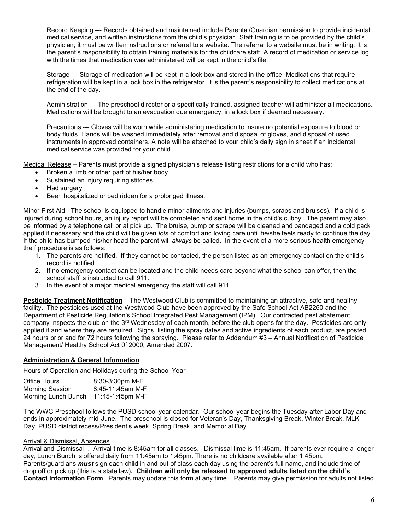Record Keeping --- Records obtained and maintained include Parental/Guardian permission to provide incidental medical service, and written instructions from the child's physician. Staff training is to be provided by the child's physician; it must be written instructions or referral to a website. The referral to a website must be in writing. It is the parent's responsibility to obtain training materials for the childcare staff. A record of medication or service log with the times that medication was administered will be kept in the child's file.

Storage --- Storage of medication will be kept in a lock box and stored in the office. Medications that require refrigeration will be kept in a lock box in the refrigerator. It is the parent's responsibility to collect medications at the end of the day.

Administration --- The preschool director or a specifically trained, assigned teacher will administer all medications. Medications will be brought to an evacuation due emergency, in a lock box if deemed necessary.

Precautions --- Gloves will be worn while administering medication to insure no potential exposure to blood or body fluids. Hands will be washed immediately after removal and disposal of gloves, and disposal of used instruments in approved containers. A note will be attached to your child's daily sign in sheet if an incidental medical service was provided for your child.

Medical Release – Parents must provide a signed physician's release listing restrictions for a child who has:

- Broken a limb or other part of his/her body
- Sustained an injury requiring stitches
- Had surgery
- Been hospitalized or bed ridden for a prolonged illness.

Minor First Aid - The school is equipped to handle minor ailments and injuries (bumps, scraps and bruises). If a child is injured during school hours, an injury report will be completed and sent home in the child's cubby. The parent may also be informed by a telephone call or at pick up. The bruise, bump or scrape will be cleaned and bandaged and a cold pack applied if necessary and the child will be given lots of comfort and loving care until he/she feels ready to continue the day. If the child has bumped his/her head the parent will always be called. In the event of a more serious health emergency the f procedure is as follows:

- 1. The parents are notified. If they cannot be contacted, the person listed as an emergency contact on the child's record is notified.
- 2. If no emergency contact can be located and the child needs care beyond what the school can offer, then the school staff is instructed to call 911.
- 3. In the event of a major medical emergency the staff will call 911.

Pesticide Treatment Notification – The Westwood Club is committed to maintaining an attractive, safe and healthy facility. The pesticides used at the Westwood Club have been approved by the Safe School Act AB2260 and the Department of Pesticide Regulation's School Integrated Pest Management (IPM). Our contracted pest abatement company inspects the club on the 3rd Wednesday of each month, before the club opens for the day. Pesticides are only applied if and where they are required. Signs, listing the spray dates and active ingredients of each product, are posted 24 hours prior and for 72 hours following the spraying. Please refer to Addendum #3 – Annual Notification of Pesticide Management/ Healthy School Act 0f 2000, Amended 2007.

#### Administration & General Information

Hours of Operation and Holidays during the School Year

| Office Hours           | 8:30-3:30pm M-F  |
|------------------------|------------------|
| <b>Morning Session</b> | 8:45-11:45am M-F |
| Morning Lunch Bunch    | 11:45-1:45pm M-F |

The WWC Preschool follows the PUSD school year calendar. Our school year begins the Tuesday after Labor Day and ends in approximately mid-June. The preschool is closed for Veteran's Day, Thanksgiving Break, Winter Break, MLK Day, PUSD district recess/President's week, Spring Break, and Memorial Day.

#### Arrival & Dismissal, Absences

Arrival and Dismissal -. Arrival time is 8:45am for all classes. Dismissal time is 11:45am. If parents ever require a longer day, Lunch Bunch is offered daily from 11:45am to 1:45pm. There is no childcare available after 1:45pm. Parents/guardians **must** sign each child in and out of class each day using the parent's full name, and include time of drop off or pick up (this is a state law). Children will only be released to approved adults listed on the child's Contact Information Form. Parents may update this form at any time. Parents may give permission for adults not listed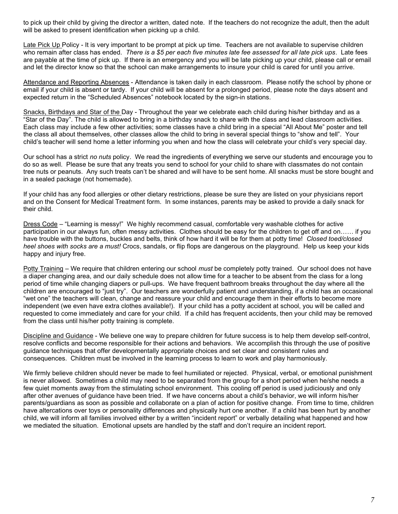to pick up their child by giving the director a written, dated note. If the teachers do not recognize the adult, then the adult will be asked to present identification when picking up a child.

Late Pick Up Policy - It is very important to be prompt at pick up time. Teachers are not available to supervise children who remain after class has ended. There is a \$5 per each five minutes late fee assessed for all late pick ups. Late fees are payable at the time of pick up. If there is an emergency and you will be late picking up your child, please call or email and let the director know so that the school can make arrangements to insure your child is cared for until you arrive.

Attendance and Reporting Absences - Attendance is taken daily in each classroom. Please notify the school by phone or email if your child is absent or tardy. If your child will be absent for a prolonged period, please note the days absent and expected return in the "Scheduled Absences" notebook located by the sign-in stations.

Snacks, Birthdays and Star of the Day - Throughout the year we celebrate each child during his/her birthday and as a "Star of the Day". The child is allowed to bring in a birthday snack to share with the class and lead classroom activities. Each class may include a few other activities; some classes have a child bring in a special "All About Me" poster and tell the class all about themselves, other classes allow the child to bring in several special things to "show and tell". Your child's teacher will send home a letter informing you when and how the class will celebrate your child's very special day.

Our school has a strict no nuts policy. We read the ingredients of everything we serve our students and encourage you to do so as well. Please be sure that any treats you send to school for your child to share with classmates do not contain tree nuts or peanuts. Any such treats can't be shared and will have to be sent home. All snacks must be store bought and in a sealed package (not homemade).

If your child has any food allergies or other dietary restrictions, please be sure they are listed on your physicians report and on the Consent for Medical Treatment form. In some instances, parents may be asked to provide a daily snack for their child.

Dress Code – "Learning is messy!" We highly recommend casual, comfortable very washable clothes for active participation in our always fun, often messy activities. Clothes should be easy for the children to get off and on…… if you have trouble with the buttons, buckles and belts, think of how hard it will be for them at potty time! Closed toed/closed heel shoes with socks are a must! Crocs, sandals, or flip flops are dangerous on the playground. Help us keep your kids happy and injury free.

Potty Training – We require that children entering our school *must* be completely potty trained. Our school does not have a diaper changing area, and our daily schedule does not allow time for a teacher to be absent from the class for a long period of time while changing diapers or pull-ups. We have frequent bathroom breaks throughout the day where all the children are encouraged to "just try". Our teachers are wonderfully patient and understanding, if a child has an occasional "wet one" the teachers will clean, change and reassure your child and encourage them in their efforts to become more independent (we even have extra clothes available!). If your child has a potty accident at school, you will be called and requested to come immediately and care for your child. If a child has frequent accidents, then your child may be removed from the class until his/her potty training is complete.

Discipline and Guidance - We believe one way to prepare children for future success is to help them develop self-control, resolve conflicts and become responsible for their actions and behaviors. We accomplish this through the use of positive guidance techniques that offer developmentally appropriate choices and set clear and consistent rules and consequences. Children must be involved in the learning process to learn to work and play harmoniously.

We firmly believe children should never be made to feel humiliated or rejected. Physical, verbal, or emotional punishment is never allowed. Sometimes a child may need to be separated from the group for a short period when he/she needs a few quiet moments away from the stimulating school environment. This cooling off period is used judiciously and only after other avenues of guidance have been tried. If we have concerns about a child's behavior, we will inform his/her parents/guardians as soon as possible and collaborate on a plan of action for positive change. From time to time, children have altercations over toys or personality differences and physically hurt one another. If a child has been hurt by another child, we will inform all families involved either by a written "incident report" or verbally detailing what happened and how we mediated the situation. Emotional upsets are handled by the staff and don't require an incident report.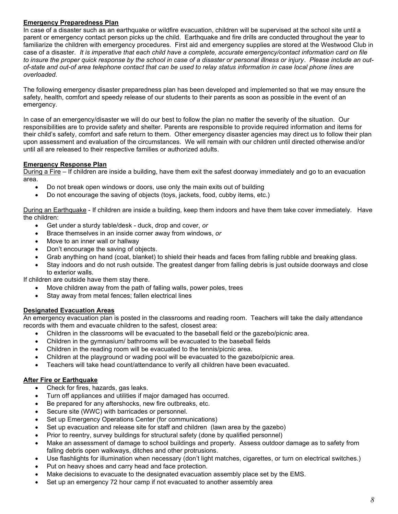# Emergency Preparedness Plan

In case of a disaster such as an earthquake or wildfire evacuation, children will be supervised at the school site until a parent or emergency contact person picks up the child. Earthquake and fire drills are conducted throughout the year to familiarize the children with emergency procedures. First aid and emergency supplies are stored at the Westwood Club in case of a disaster. It is imperative that each child have a complete, accurate emergency/contact information card on file to insure the proper quick response by the school in case of a disaster or personal illness or injury. Please include an outof-state and out-of area telephone contact that can be used to relay status information in case local phone lines are overloaded.

The following emergency disaster preparedness plan has been developed and implemented so that we may ensure the safety, health, comfort and speedy release of our students to their parents as soon as possible in the event of an emergency.

In case of an emergency/disaster we will do our best to follow the plan no matter the severity of the situation. Our responsibilities are to provide safety and shelter. Parents are responsible to provide required information and items for their child's safety, comfort and safe return to them. Other emergency disaster agencies may direct us to follow their plan upon assessment and evaluation of the circumstances. We will remain with our children until directed otherwise and/or until all are released to their respective families or authorized adults.

# Emergency Response Plan

During a Fire – If children are inside a building, have them exit the safest doorway immediately and go to an evacuation area.

- Do not break open windows or doors, use only the main exits out of building
- Do not encourage the saving of objects (toys, jackets, food, cubby items, etc.)

During an Earthquake - If children are inside a building, keep them indoors and have them take cover immediately. Have the children:

- Get under a sturdy table/desk duck, drop and cover, or
- Brace themselves in an inside corner away from windows, or
- Move to an inner wall or hallway
- Don't encourage the saving of objects.
- Grab anything on hand (coat, blanket) to shield their heads and faces from falling rubble and breaking glass.
- Stay indoors and do not rush outside. The greatest danger from falling debris is just outside doorways and close to exterior walls.

If children are outside have them stay there.

- Move children away from the path of falling walls, power poles, trees
- Stay away from metal fences; fallen electrical lines

# Designated Evacuation Areas

An emergency evacuation plan is posted in the classrooms and reading room. Teachers will take the daily attendance records with them and evacuate children to the safest, closest area:

- Children in the classrooms will be evacuated to the baseball field or the gazebo/picnic area.
- Children in the gymnasium/ bathrooms will be evacuated to the baseball fields
- Children in the reading room will be evacuated to the tennis/picnic area.
- Children at the playground or wading pool will be evacuated to the gazebo/picnic area.
- Teachers will take head count/attendance to verify all children have been evacuated.

# After Fire or Earthquake

- Check for fires, hazards, gas leaks.
- Turn off appliances and utilities if major damaged has occurred.
- Be prepared for any aftershocks, new fire outbreaks, etc.
- Secure site (WWC) with barricades or personnel.
- Set up Emergency Operations Center (for communications)
- Set up evacuation and release site for staff and children (lawn area by the gazebo)
- Prior to reentry, survey buildings for structural safety (done by qualified personnel)
- Make an assessment of damage to school buildings and property. Assess outdoor damage as to safety from falling debris open walkways, ditches and other protrusions.
- Use flashlights for illumination when necessary (don't light matches, cigarettes, or turn on electrical switches.)
- Put on heavy shoes and carry head and face protection.
- Make decisions to evacuate to the designated evacuation assembly place set by the EMS.
- Set up an emergency 72 hour camp if not evacuated to another assembly area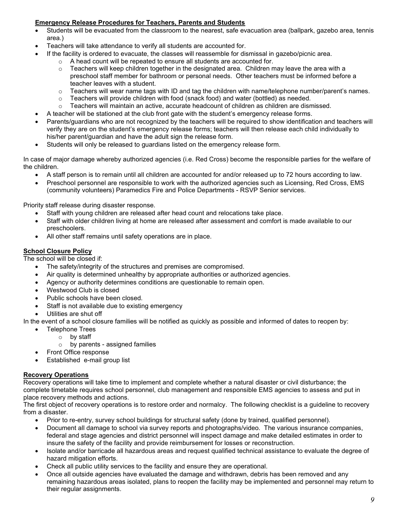# Emergency Release Procedures for Teachers, Parents and Students

- Students will be evacuated from the classroom to the nearest, safe evacuation area (ballpark, gazebo area, tennis area.)
- Teachers will take attendance to verify all students are accounted for.
	- If the facility is ordered to evacuate, the classes will reassemble for dismissal in gazebo/picnic area.
		- o A head count will be repeated to ensure all students are accounted for.
		- $\circ$  Teachers will keep children together in the designated area. Children may leave the area with a preschool staff member for bathroom or personal needs. Other teachers must be informed before a teacher leaves with a student.
		- $\circ$  Teachers will wear name tags with ID and tag the children with name/telephone number/parent's names.
		- $\circ$  Teachers will provide children with food (snack food) and water (bottled) as needed.
		- $\circ$  Teachers will maintain an active, accurate headcount of children as children are dismissed.
	- A teacher will be stationed at the club front gate with the student's emergency release forms.
- Parents/guardians who are not recognized by the teachers will be required to show identification and teachers will verify they are on the student's emergency release forms; teachers will then release each child individually to his/her parent/guardian and have the adult sign the release form.
- Students will only be released to guardians listed on the emergency release form.

In case of major damage whereby authorized agencies (i.e. Red Cross) become the responsible parties for the welfare of the children.

- A staff person is to remain until all children are accounted for and/or released up to 72 hours according to law.
- Preschool personnel are responsible to work with the authorized agencies such as Licensing, Red Cross, EMS (community volunteers) Paramedics Fire and Police Departments - RSVP Senior services.

Priority staff release during disaster response.

- Staff with young children are released after head count and relocations take place.
- Staff with older children living at home are released after assessment and comfort is made available to our preschoolers.
- All other staff remains until safety operations are in place.

# School Closure Policy

The school will be closed if:

- The safety/integrity of the structures and premises are compromised.
- Air quality is determined unhealthy by appropriate authorities or authorized agencies.
- Agency or authority determines conditions are questionable to remain open.
- Westwood Club is closed
- Public schools have been closed.
- Staff is not available due to existing emergency
- Utilities are shut off

In the event of a school closure families will be notified as quickly as possible and informed of dates to reopen by:

- Telephone Trees
	- $\circ$  by staff
		- $\circ$  by parents assigned families
- Front Office response
- Established e-mail group list

# Recovery Operations

Recovery operations will take time to implement and complete whether a natural disaster or civil disturbance; the complete timetable requires school personnel, club management and responsible EMS agencies to assess and put in place recovery methods and actions.

The first object of recovery operations is to restore order and normalcy. The following checklist is a guideline to recovery from a disaster.

- Prior to re-entry, survey school buildings for structural safety (done by trained, qualified personnel).
- Document all damage to school via survey reports and photographs/video. The various insurance companies, federal and stage agencies and district personnel will inspect damage and make detailed estimates in order to insure the safety of the facility and provide reimbursement for losses or reconstruction.
- Isolate and/or barricade all hazardous areas and request qualified technical assistance to evaluate the degree of hazard mitigation efforts.
- Check all public utility services to the facility and ensure they are operational.
- Once all outside agencies have evaluated the damage and withdrawn, debris has been removed and any remaining hazardous areas isolated, plans to reopen the facility may be implemented and personnel may return to their regular assignments.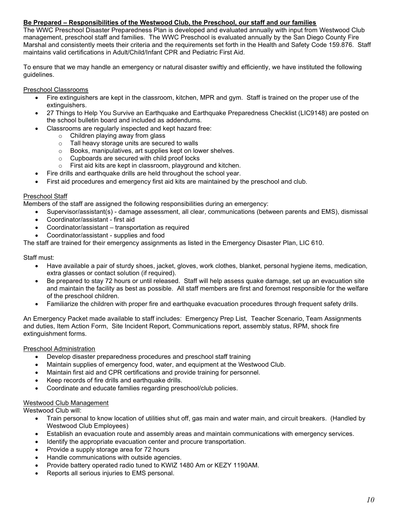# Be Prepared – Responsibilities of the Westwood Club, the Preschool, our staff and our families

The WWC Preschool Disaster Preparedness Plan is developed and evaluated annually with input from Westwood Club management, preschool staff and families. The WWC Preschool is evaluated annually by the San Diego County Fire Marshal and consistently meets their criteria and the requirements set forth in the Health and Safety Code 159.876. Staff maintains valid certifications in Adult/Child/Infant CPR and Pediatric First Aid.

To ensure that we may handle an emergency or natural disaster swiftly and efficiently, we have instituted the following guidelines.

## Preschool Classrooms

- Fire extinguishers are kept in the classroom, kitchen, MPR and gym. Staff is trained on the proper use of the extinguishers.
- 27 Things to Help You Survive an Earthquake and Earthquake Preparedness Checklist (LIC9148) are posted on the school bulletin board and included as addendums.
- Classrooms are regularly inspected and kept hazard free:
	- o Children playing away from glass
	- o Tall heavy storage units are secured to walls
	- o Books, manipulatives, art supplies kept on lower shelves.
	- o Cupboards are secured with child proof locks
	- o First aid kits are kept in classroom, playground and kitchen.
- Fire drills and earthquake drills are held throughout the school year.
- First aid procedures and emergency first aid kits are maintained by the preschool and club.

## Preschool Staff

Members of the staff are assigned the following responsibilities during an emergency:

- Supervisor/assistant(s) damage assessment, all clear, communications (between parents and EMS), dismissal
- Coordinator/assistant first aid
- Coordinator/assistant transportation as required
- Coordinator/assistant supplies and food

The staff are trained for their emergency assignments as listed in the Emergency Disaster Plan, LIC 610.

Staff must:

- Have available a pair of sturdy shoes, jacket, gloves, work clothes, blanket, personal hygiene items, medication, extra glasses or contact solution (if required).
- Be prepared to stay 72 hours or until released. Staff will help assess quake damage, set up an evacuation site and maintain the facility as best as possible. All staff members are first and foremost responsible for the welfare of the preschool children.
- Familiarize the children with proper fire and earthquake evacuation procedures through frequent safety drills.

An Emergency Packet made available to staff includes: Emergency Prep List, Teacher Scenario, Team Assignments and duties, Item Action Form, Site Incident Report, Communications report, assembly status, RPM, shock fire extinguishment forms.

#### Preschool Administration

- Develop disaster preparedness procedures and preschool staff training
- Maintain supplies of emergency food, water, and equipment at the Westwood Club.
- Maintain first aid and CPR certifications and provide training for personnel.
- Keep records of fire drills and earthquake drills.
- Coordinate and educate families regarding preschool/club policies.

# Westwood Club Management

Westwood Club will:

- Train personal to know location of utilities shut off, gas main and water main, and circuit breakers. (Handled by Westwood Club Employees)
- Establish an evacuation route and assembly areas and maintain communications with emergency services.
- Identify the appropriate evacuation center and procure transportation.
- Provide a supply storage area for 72 hours
- Handle communications with outside agencies.
- Provide battery operated radio tuned to KWIZ 1480 Am or KEZY 1190AM.
- Reports all serious injuries to EMS personal.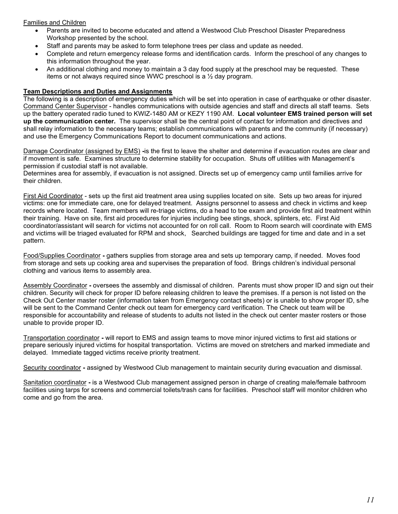# Families and Children

- Parents are invited to become educated and attend a Westwood Club Preschool Disaster Preparedness Workshop presented by the school.
- Staff and parents may be asked to form telephone trees per class and update as needed.
- Complete and return emergency release forms and identification cards. Inform the preschool of any changes to this information throughout the year.
- An additional clothing and money to maintain a 3 day food supply at the preschool may be requested. These items or not always required since WWC preschool is a ½ day program.

#### Team Descriptions and Duties and Assignments

The following is a description of emergency duties which will be set into operation in case of earthquake or other disaster. Command Center Supervisor - handles communications with outside agencies and staff and directs all staff teams. Sets up the battery operated radio tuned to KWIZ-1480 AM or KEZY 1190 AM. Local volunteer EMS trained person will set up the communication center. The supervisor shall be the central point of contact for information and directives and shall relay information to the necessary teams; establish communications with parents and the community (if necessary) and use the Emergency Communications Report to document communications and actions.

Damage Coordinator (assigned by EMS) -is the first to leave the shelter and determine if evacuation routes are clear and if movement is safe. Examines structure to determine stability for occupation. Shuts off utilities with Management's permission if custodial staff is not available.

Determines area for assembly, if evacuation is not assigned. Directs set up of emergency camp until families arrive for their children.

First Aid Coordinator - sets up the first aid treatment area using supplies located on site. Sets up two areas for injured victims: one for immediate care, one for delayed treatment. Assigns personnel to assess and check in victims and keep records where located. Team members will re-triage victims, do a head to toe exam and provide first aid treatment within their training. Have on site, first aid procedures for injuries including bee stings, shock, splinters, etc. First Aid coordinator/assistant will search for victims not accounted for on roll call. Room to Room search will coordinate with EMS and victims will be triaged evaluated for RPM and shock, Searched buildings are tagged for time and date and in a set pattern.

Food/Supplies Coordinator - gathers supplies from storage area and sets up temporary camp, if needed. Moves food from storage and sets up cooking area and supervises the preparation of food. Brings children's individual personal clothing and various items to assembly area.

Assembly Coordinator - oversees the assembly and dismissal of children. Parents must show proper ID and sign out their children. Security will check for proper ID before releasing children to leave the premises. If a person is not listed on the Check Out Center master roster (information taken from Emergency contact sheets) or is unable to show proper ID, s/he will be sent to the Command Center check out team for emergency card verification. The Check out team will be responsible for accountability and release of students to adults not listed in the check out center master rosters or those unable to provide proper ID.

Transportation coordinator - will report to EMS and assign teams to move minor injured victims to first aid stations or prepare seriously injured victims for hospital transportation. Victims are moved on stretchers and marked immediate and delayed. Immediate tagged victims receive priority treatment.

Security coordinator - assigned by Westwood Club management to maintain security during evacuation and dismissal.

Sanitation coordinator - is a Westwood Club management assigned person in charge of creating male/female bathroom facilities using tarps for screens and commercial toilets/trash cans for facilities. Preschool staff will monitor children who come and go from the area.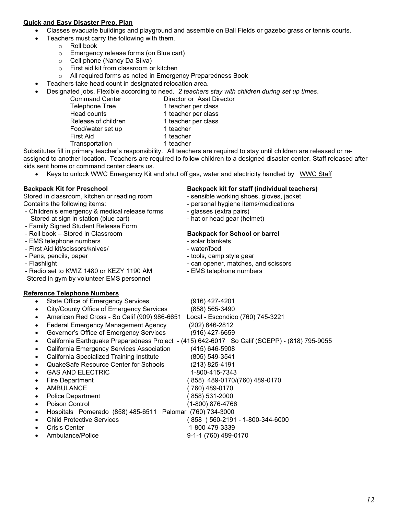# Quick and Easy Disaster Prep. Plan

- Classes evacuate buildings and playground and assemble on Ball Fields or gazebo grass or tennis courts.
	- Teachers must carry the following with them.
		- o Roll book
		- o Emergency release forms (on Blue cart)
		- o Cell phone (Nancy Da Silva)
		- o First aid kit from classroom or kitchen
		- o All required forms as noted in Emergency Preparedness Book
- Teachers take head count in designated relocation area.
- Designated jobs. Flexible according to need. 2 teachers stay with children during set up times.
	- Command Center **Director or Asst Director** Telephone Tree 1 teacher per class Head counts 1 teacher per class Release of children 1 teacher per class Food/water set up 1 teacher First Aid 1 teacher Transportation 1 teacher

Substitutes fill in primary teacher's responsibility. All teachers are required to stay until children are released or reassigned to another location. Teachers are required to follow children to a designed disaster center. Staff released after kids sent home or command center clears us.

Keys to unlock WWC Emergency Kit and shut off gas, water and electricity handled by WWC Staff

Stored in classroom, kitchen or reading room - sensible working shoes, gloves, jacket Contains the following items:  $\blacksquare$  personal hygiene items/medications

- Children's emergency & medical release forms glasses (extra pairs) Stored at sign in station (blue cart) - hat or head gear (helmet)
- Family Signed Student Release Form
- Roll book Stored in Classroom Backpack for School or barrel
- EMS telephone numbers solar blankets
- First Aid kit/scissors/knives/ water/food
- Pens, pencils, paper  $\overline{\phantom{a}}$  tools, camp style gear
- 
- Radio set to KWIZ 1480 or KEZY 1190 AM EMS telephone numbers

Stored in gym by volunteer EMS personnel

# Reference Telephone Numbers

- State Office of Emergency Services (916) 427-4201
- City/County Office of Emergency Services (858) 565-3490
- American Red Cross So Calif (909) 986-6651 Local Escondido (760) 745-3221
- Federal Emergency Management Agency (202) 646-2812
- Governor's Office of Emergency Services (916) 427-6659
- California Earthquake Preparedness Project (415) 642-6017 So Calif (SCEPP) (818) 795-9055
- California Emergency Services Association (415) 646-5908
- 
- 
- 
- 
- 
- 
- 
- Hospitals Pomerado (858) 485-6511 Palomar (760) 734-3000
- Child Protective Services ( 858 ) 560-2191 1-800-344-6000
- Crisis Center 1-800-479-3339
	- Ambulance/Police 9-1-1 (760) 489-0170

# Backpack Kit for Preschool Backpack kit for staff (individual teachers)

- 
- 
- 
- 

- 
- 
- 
- Flashlight  **can opener, matches, and scissors** 
	-

 California Specialized Training Institute (805) 549-3541 QuakeSafe Resource Center for Schools (213) 825-4191 GAS AND ELECTRIC 1-800-415-7343 Fire Department ( 858) 489-0170/(760) 489-0170 AMBULANCE ( 760) 489-0170 Police Department ( 858) 531-2000 Poison Control (1-800) 876-4766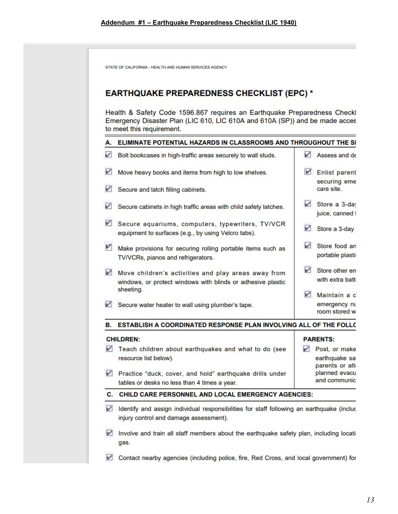|                          | <b>EARTHQUAKE PREPAREDNESS CHECKLIST (EPC) *</b><br>Health & Safety Code 1596.867 requires an Earthquake Preparedness Checkl<br>Emergency Disaster Plan (LIC 610, LIC 610A and 610A (SP)) and be made acces |                          |                                                  |
|--------------------------|-------------------------------------------------------------------------------------------------------------------------------------------------------------------------------------------------------------|--------------------------|--------------------------------------------------|
|                          | to meet this requirement.                                                                                                                                                                                   |                          |                                                  |
| А.                       | ELIMINATE POTENTIAL HAZARDS IN CLASSROOMS AND THROUGHOUT THE SI                                                                                                                                             |                          |                                                  |
| $\overline{\phantom{0}}$ | Bolt bookcases in high-traffic areas securely to wall studs.                                                                                                                                                |                          | Assess and de                                    |
| $\blacktriangledown$     | Move heavy books and items from high to low shelves.                                                                                                                                                        | $\vee$                   | <b>Enlist parent</b>                             |
| $\blacktriangledown$     | Secure and latch filling cabinets.                                                                                                                                                                          |                          | securing eme<br>care site.                       |
| V                        | Secure cabinets in high traffic areas with child safety latches.                                                                                                                                            | $\sqrt{}$                | Store a 3-day<br>juice, canned f                 |
|                          | Secure aquariums, computers, typewriters, TV/VCR<br>equipment to surfaces (e.g., by using Velcro tabs).                                                                                                     | M                        | Store a 3-day                                    |
| $\blacksquare$           | Make provisions for securing rolling portable items such as<br>TV/VCRs, pianos and refrigerators.                                                                                                           | $\overline{\mathscr{L}}$ | Store food an<br>portable plasti                 |
| M                        | Move children's activities and play areas away from<br>windows, or protect windows with blinds or adhesive plastic<br>sheeting.                                                                             | $\checkmark$             | Store other en<br>with extra batt                |
| $\triangledown$          | Secure water heater to wall using plumber's tape.                                                                                                                                                           | $\sqrt{ }$               | Maintain a c<br>emergency nu<br>room stored w    |
| В.                       | ESTABLISH A COORDINATED RESPONSE PLAN INVOLVING ALL OF THE FOLLO                                                                                                                                            |                          |                                                  |
|                          | <b>CHILDREN:</b>                                                                                                                                                                                            |                          | <b>PARENTS:</b>                                  |
| V                        | Teach children about earthquakes and what to do (see<br>resource list below).                                                                                                                               | ✓                        | Post, or make<br>earthquake sa                   |
| V                        | Practice "duck, cover, and hold" earthquake drills under<br>tables or desks no less than 4 times a year.                                                                                                    |                          | parents or alte<br>planned evacu<br>and communic |
| $\mathbf{C}$ .           | <b>CHILD CARE PERSONNEL AND LOCAL EMERGENCY AGENCIES:</b>                                                                                                                                                   |                          |                                                  |

- Involve and train all staff members about the earthquake safety plan, including locatigas.
- Contact nearby agencies (including police, fire, Red Cross, and local government) for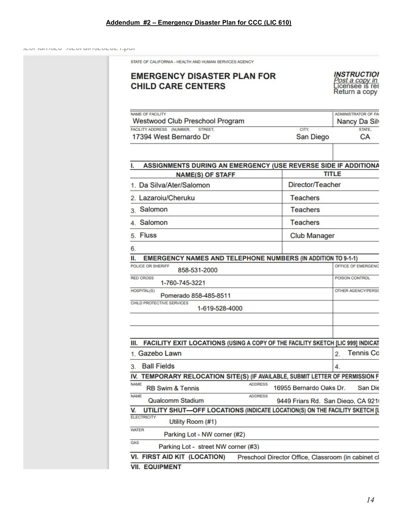# Addendum #2 – Emergency Disaster Plan for CCC (LIC 610)

ILVI IMIT/VLV TULVI MIT/VLVLVL TIPUT

| <b>EMERGENCY DISASTER PLAN FOR</b><br><b>CHILD CARE CENTERS</b>                                                |                                                              | <b>INSTRUCTION</b><br><i>Post a copy in</i><br>Licensee is res<br>Return a copy |
|----------------------------------------------------------------------------------------------------------------|--------------------------------------------------------------|---------------------------------------------------------------------------------|
| NAME OF FACILITY<br><b>Westwood Club Preschool Program</b>                                                     |                                                              | <b>ADMINISTRATOR OF FAI</b><br>Nancy Da Silv                                    |
| FACILITY ADDRESS (NUMBER,<br><b>STREET</b><br>17394 West Bernardo Dr                                           | CITY.<br>San Diego                                           | STATE.<br><b>CA</b>                                                             |
| ASSIGNMENTS DURING AN EMERGENCY (USE REVERSE SIDE IF ADDITIONA<br>L                                            |                                                              |                                                                                 |
| <b>NAME(S) OF STAFF</b>                                                                                        |                                                              | <b>TITLE</b>                                                                    |
| 1. Da Silva/Ater/Salomon                                                                                       | Director/Teacher                                             |                                                                                 |
| 2. Lazaroiu/Cheruku                                                                                            | <b>Teachers</b>                                              |                                                                                 |
| 3. Salomon                                                                                                     | <b>Teachers</b>                                              |                                                                                 |
| 4. Salomon                                                                                                     | <b>Teachers</b>                                              |                                                                                 |
| 5. Fluss                                                                                                       | <b>Club Manager</b>                                          |                                                                                 |
| 6.<br><b>EMERGENCY NAMES AND TELEPHONE NUMBERS (IN ADDITION TO 9-1-1)</b><br>Ш.<br>POLICE OR SHERIFF           |                                                              | OFFICE OF EMERGENC                                                              |
| 858-531-2000<br><b>RED CROSS</b><br>1-760-745-3221                                                             |                                                              | POISON CONTROL                                                                  |
| HOSPITAL(S)<br>Pomerado 858-485-8511                                                                           |                                                              | OTHER AGENCY/PERSO                                                              |
| CHILD PROTECTIVE SERVICES<br>1-619-528-4000                                                                    |                                                              |                                                                                 |
|                                                                                                                |                                                              |                                                                                 |
| FACILITY EXIT LOCATIONS (USING A COPY OF THE FACILITY SKETCH [LIC 999] INDICAT<br>Ш.                           |                                                              |                                                                                 |
| 1. Gazebo Lawn                                                                                                 |                                                              | <b>Tennis Co</b><br>$\overline{2}$ .                                            |
| <b>Ball Fields</b><br>3.                                                                                       |                                                              | 4.                                                                              |
| IV. TEMPORARY RELOCATION SITE(S) (IF AVAILABLE, SUBMIT LETTER OF PERMISSION F<br><b>NAME</b><br><b>ADDRESS</b> |                                                              |                                                                                 |
| <b>RB Swim &amp; Tennis</b><br><b>NAME</b><br><b>ADDRESS</b><br>Qualcomm Stadium                               | 16955 Bernardo Oaks Dr.<br>9449 Friars Rd. San Diego, CA 921 | San Die                                                                         |
| UTILITY SHUT-OFF LOCATIONS (INDICATE LOCATION(S) ON THE FACILITY SKETCH [L<br>v                                |                                                              |                                                                                 |
| <b>ELECTRICITY</b><br>Utility Room (#1)                                                                        |                                                              |                                                                                 |
| <b>WATER</b><br>Parking Lot - NW corner (#2)                                                                   |                                                              |                                                                                 |
| GAS<br>Parking Lot - street NW corner (#3)                                                                     |                                                              |                                                                                 |
| VI. FIRST AID KIT (LOCATION)                                                                                   | Preschool Director Office, Classroom (in cabinet cl          |                                                                                 |